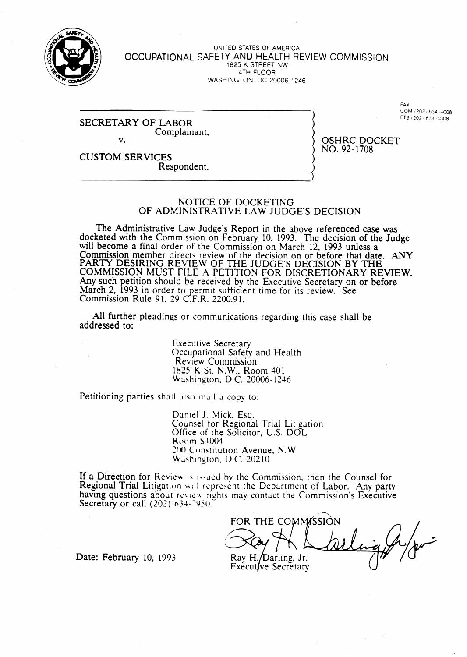

#### UNITED STATES OF AMERICA **OCCUPATIONAL** SAFETY **AND** HEALTH REVIEW COMMISSION 1825 K STREET NW 4TH FLOOR WASHINGTON, DC 20006- 1246

### SECRETARY OF LABOR Complainant, v.

FAX COM (202) 634-4008 FTS (202) 634 -4208

OSHRC DOCKET NO. 92-1708

CUSTOM SERVICES Respondent.

### NOTICE OF DOCKETING OF ADMINISTRATIVE LAW JUDGE'S DECISION

The Administrative Law Judge's Report in the above referenced case was docketed with the Commission on February 10, 1993. The decision of the Judge will become a final order of the Commission on March 12, 1993 unless a Commission member directs review of the decision on or before that date. ANY PARTY DESIRING REVIEW OF THE JUDGE'S DECISION BY THE COMMISSION MUST FILE A PETITION FOR DISCRETIONARY REVIEW. Any such March  $2, 19$ etition should be received by the Executive Secretary on or before. 993 in order to permit sufficient time for its review. See Commission Rule 91, 29 C.F.R. 2200.91.

All further pleadings or communications regarding this case shall be addressed to:

> Executive Secretary Occupational Safety and Health Review Commission 1825 K St. N.W., Room 401 Washington, D.C. 20006- 1246

Petitioning parties shall also mail a copy to:

Daniel J. Mick, Esq. Counsel for Regional Trial Litigation Office of the Solicitor, U.S. DOL  $R$ ( $M$ ) $m$   $S$ 4 $(0)4$ 200 Constitution Avenue, N.W. **Washington, D.C. 20210** 

If a Direction for Review is issued by the Commission, then the Counsel for Regional Trial Litigation will represent the Department of Labor. Any party having questions about review rights may contact the Commission's Executive Secretary or call  $(202)$  634.7950.

FOR THE COMMISSION Ray H./Darling, Jr. Executive Secretary

Date: February 10, 1993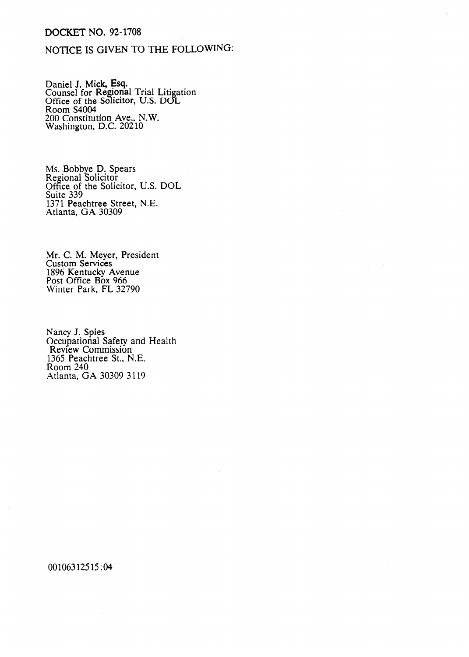## DOCKET NO. 92-1708

# NOTICE IS GIVEN TO THE FOLLOWING:

Daniel J. Mick, Esq. Counsel for Regional Trial Litigation Office of the Solicitor, U.S. DOL Room S4004 200 Constitution Ave., N.W. Washington, D.C. 202 10

Ms. BODDye D. Spears Regional Solicitor Office of the Solicitor, U.S. DOL Suite 333 1371 I eachtree Street, N.L.<br>Atlanta GA 30309 Atlanta, GA  $30307$ 

Mr. C. M. Meyer, President Custom Services 1896 **Montany Avenue**<br>Post Office Box 966 Post Office Box 987  $W<sub>2</sub>W<sub>1</sub>W<sub>2</sub>W<sub>1</sub>W<sub>2</sub>W<sub>3</sub>W<sub>4</sub>W<sub>5</sub>W<sub>6</sub>W<sub>7</sub>W<sub>8</sub>W<sub>1</sub>W<sub>1</sub>W<sub>2</sub>W<sub>3</sub>W<sub>2</sub>W<sub>3</sub>W<sub>4</sub>W<sub>5</sub>W<sub>6</sub>W<sub>7</sub>W<sub>8</sub>W<sub>1</sub>W<sub>1</sub>W<sub>1</sub>W<sub>1</sub>W<sub>1</sub>W$ 

Occupational S Review Commission 365 Peachtree St., l  $R$ oom  $240$ Atlanta, GA 30309 3119 Atlanta, GA 30309 3119

00106312515:04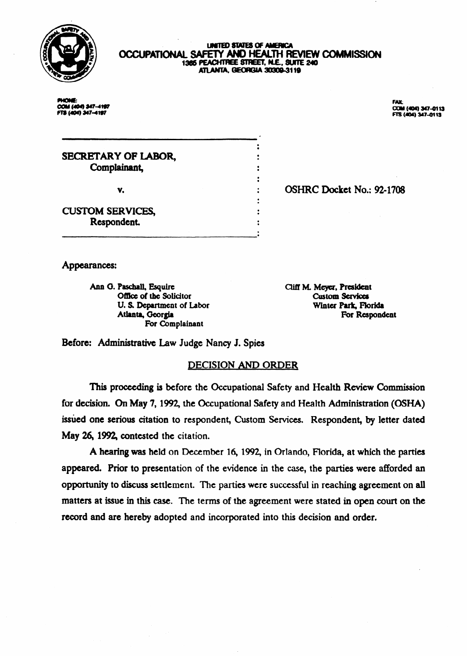

### **UNITED STATES OF AMERICA** OCCUPATIONAL SAFETY AND HEALTH REVIEW COMMISSION 1366 PEACHTREE STREET, N.E., SUITE 240 ATLANTA, GEORGIA 30309-3119

×.

 $\ddot{\cdot}$  $\ddot{\cdot}$ 

**PHONE:** COM (404) 347-4197 FT8 (404) 347-4197

FAX-COM (404) 347-0113<br>FTS (404) 347-0113

SECRETARY OF IABOR, Complainant, **v.**  $\qquad \qquad ;$ 

OSHRC Docket No.: 92-1708

CUSTOM SERVICES, Respondent.

Appearances:

Ann G. Paschall, Esquire Office of the Solicitor U. S. Department of Labor **Atlanta,** Georgia For Complainant

**Cliff M. Meyer, President Custom Services** Winter Park, Florida For Respondent

Before: Administrative Law Judge Nancy J. Spies

## DECISION AND ORDER

This proceeding is before the Occupational Safety and Health Review Commission for decision. **On** May **7,1992, the Occupational Safety and** Health Administration (OSHA) issued one serious citation to respondent, Custom Services. Respondent, by letter dated May 26, 1992, contested the citation.

**A** hearing was held on December **16,1992,** in Orlando, Florida, at which the parties appeared. Prior to presentation of the evidence in the case, the parties were afforded an opportunity to discuss settlement. The parties were successful in reaching agreement on all matters at issue in this case. The terms of the agreement were stated in open court on the record and are hereby adopted and incorporated into this decision and order.